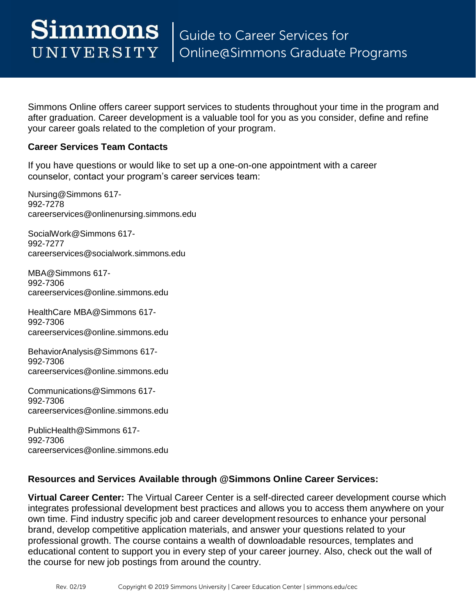after graduation. Career development is a valuable tool for you as you consider, define and refine Simmons Online offers career support services to students throughout your time in the program and your career goals related to the completion of your program.

## **Career Services Team Contacts**

If you have questions or would like to set up a one-on-one appointment with a career counselor, contact your program's career services team:

Nursing@Simmons 617- 992-7278 [careerservices@onlinenursing.simmons.edu](mailto:careerservices@onlinenursing.simmons.edu) 

SocialWork@Simmons 617- 992-7277 [careerservices@socialwork.simmons.edu](mailto:careerservices@socialwork.simmons.edu) 

MBA@Simmons 617- 992-7306 [careerservices@online.simmons.edu](mailto:careerservices@online.simmons.edu) 

HealthCare MBA@Simmons 617- 992-7306 [careerservices@online.simmons.edu](mailto:careerservices@online.simmons.edu) 

BehaviorAnalysis@Simmons 617- 992-7306 [careerservices@online.simmons.edu](mailto:careerservices@online.simmons.edu) 

Communications@Simmons 617- 992-7306 [careerservices@online.simmons.edu](mailto:careerservices@online.simmons.edu) 

PublicHealth@Simmons 617- 992-7306 [careerservices@online.simmons.edu](mailto:careerservices@online.simmons.edu) 

## **Resources and Services Available through @Simmons Online Career Services:**

 own time. Find industry specific job and career development resources to enhance your personal professional growth. The course contains a wealth of downloadable resources, templates and **Virtual Career Center:** The Virtual Career Center is a self-directed career development course which integrates professional development best practices and allows you to access them anywhere on your brand, develop competitive application materials, and answer your questions related to your educational content to support you in every step of your career journey. Also, check out the wall of the course for new job postings from around the country.